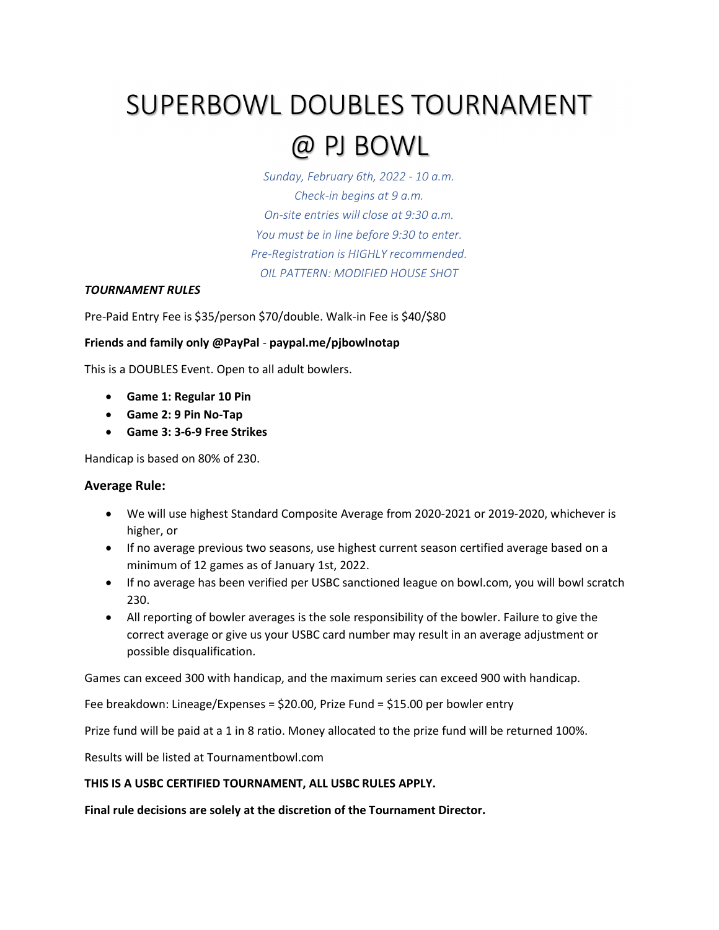## SUPERBOWL DOUBLES TOURNAMENT

### @ PJ BOWL

Sunday, February 6th, 2022 - 10 a.m. Check-in begins at 9 a.m. On-site entries will close at 9:30 a.m. You must be in line before 9:30 to enter. Pre-Registration is HIGHLY recommended. OIL PATTERN: MODIFIED HOUSE SHOT

#### TOURNAMENT RULES

Pre-Paid Entry Fee is \$35/person \$70/double. Walk-in Fee is \$40/\$80

#### Friends and family only @PayPal - paypal.me/pjbowlnotap

This is a DOUBLES Event. Open to all adult bowlers.

- Game 1: Regular 10 Pin
- Game 2: 9 Pin No-Tap
- Game 3: 3-6-9 Free Strikes

Handicap is based on 80% of 230.

#### Average Rule:

- We will use highest Standard Composite Average from 2020-2021 or 2019-2020, whichever is higher, or
- If no average previous two seasons, use highest current season certified average based on a minimum of 12 games as of January 1st, 2022.
- If no average has been verified per USBC sanctioned league on bowl.com, you will bowl scratch 230.
- All reporting of bowler averages is the sole responsibility of the bowler. Failure to give the correct average or give us your USBC card number may result in an average adjustment or possible disqualification.

Games can exceed 300 with handicap, and the maximum series can exceed 900 with handicap.

Fee breakdown: Lineage/Expenses = \$20.00, Prize Fund = \$15.00 per bowler entry

Prize fund will be paid at a 1 in 8 ratio. Money allocated to the prize fund will be returned 100%.

Results will be listed at Tournamentbowl.com

#### THIS IS A USBC CERTIFIED TOURNAMENT, ALL USBC RULES APPLY.

Final rule decisions are solely at the discretion of the Tournament Director.